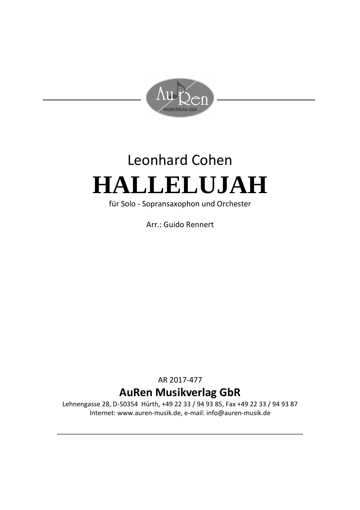

# Leonhard Cohen **HALLELUJAH**

für Solo - Sopransaxophon und Orchester

Arr.: Guido Rennert

AR 2017-477

### **AuRen Musikverlag GbR**

Lehnengasse 28, D-50354 Hürth, +49 22 33 / 94 93 85, Fax +49 22 33 / 94 93 87 Internet: www.auren-musik.de, e-mail: info@auren-musik.de

\_\_\_\_\_\_\_\_\_\_\_\_\_\_\_\_\_\_\_\_\_\_\_\_\_\_\_\_\_\_\_\_\_\_\_\_\_\_\_\_\_\_\_\_\_\_\_\_\_\_\_\_\_\_\_\_\_\_\_\_\_\_\_\_\_\_\_\_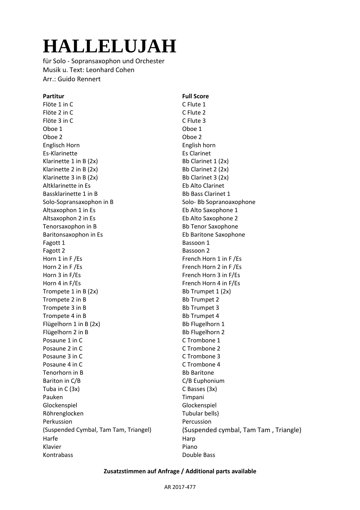## **HALLELUJAH**

für Solo - Sopransaxophon und Orchester Musik u. Text: Leonhard Cohen Arr.: Guido Rennert

Flöte 1 in C C Flute 1 Flöte 2 in C C Flute 2 Flöte 3 in C C Flute 3 Oboe 1 Oboe 1 Oboe 2 Oboe 2 Englisch Horn English horn Es-Klarinette Es Clarinet Klarinette 1 in B  $(2x)$  Bb Clarinet 1  $(2x)$ Klarinette 2 in B  $(2x)$  Bb Clarinet 2  $(2x)$ Klarinette 3 in B  $(2x)$  Bb Clarinet 3  $(2x)$ Altklarinette in Es **Eb Alto Clarinet** Bassklarinette 1 in B<br>Bb Bass Clarinet 1 Solo-Sopransaxophon in B Solo- Bb Sopranoaxophone Altsaxophon 1 in Es Eb Alto Saxophone 1 Altsaxophon 2 in Es Eb Alto Saxophone 2 Tenorsaxophon in B<br>Bb Tenor Saxophone Baritonsaxophon in Es extendio extendio under the Baritone Saxophone Fagott 1 Bassoon 1 Fagott 2 Bassoon 2 Horn 1 in F /Es French Horn 1 in F /Es Horn 2 in F /Es French Horn 2 in F /Es Horn 3 in F/Es French Horn 3 in F/Es Horn 4 in F/Es French Horn 4 in F/Es Trompete 1 in B  $(2x)$  Bb Trumpet 1  $(2x)$ Trompete 2 in B Bb Trumpet 2 Trompete 3 in B Bb Trumpet 3 Trompete 4 in B Bb Trumpet 4 Flügelhorn 1 in B (2x) Bb Flugelhorn 1 Flügelhorn 2 in B<br>Bb Flugelhorn 2 Posaune 1 in C C Trombone 1 Posaune 2 in C C Trombone 2 Posaune 3 in C C Trombone 3 Posaune 4 in C C Trombone 4 Tenorhorn in B<br>Bb Baritone Bariton in C/B C/B Euphonium Tuba in C (3x) C Basses (3x) Pauken Timpani Glockenspiel Röhrenglocken Perkussion (Suspended Cymbal, Tam Tam, Triangel) Harfe Harp Klavier **Piano** Kontrabass Double Bass

**Partitur Full Score** Glockenspiel Tubular bells) Percussion (Suspended cymbal, Tam Tam , Triangle)

### **Zusatzstimmen auf Anfrage / Additional parts available**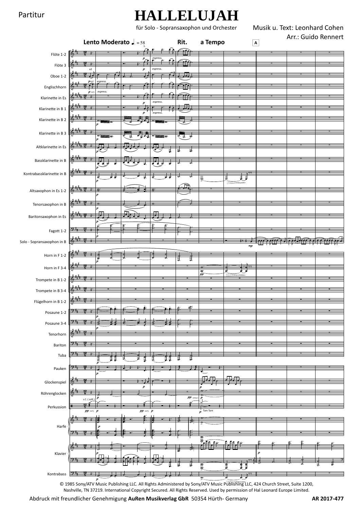## Partitur **HALLELUJAH**

für Solo - Sopransaxophon und Orchester Musik u. Text: Leonhard Cohen Arr. Cuido Bo

|                            |                  | <b>Lento Moderato</b> $\sqrt{2} = 58$ |                      |          | Rit.    | a Tempo                            |                                                                                                                                                                                                                                                                | $\boldsymbol{\mathsf{A}}$ | Arr.: Guido Rennert |
|----------------------------|------------------|---------------------------------------|----------------------|----------|---------|------------------------------------|----------------------------------------------------------------------------------------------------------------------------------------------------------------------------------------------------------------------------------------------------------------|---------------------------|---------------------|
| Flöte 1-2                  |                  |                                       |                      |          |         |                                    |                                                                                                                                                                                                                                                                |                           |                     |
| Flöte 3                    |                  |                                       | $\frac{p}{\sqrt{p}}$ |          |         |                                    |                                                                                                                                                                                                                                                                |                           |                     |
|                            | a2               |                                       | p                    | espress. |         |                                    |                                                                                                                                                                                                                                                                |                           |                     |
| Oboe 1-2                   |                  | espress                               |                      |          |         |                                    |                                                                                                                                                                                                                                                                |                           |                     |
| Englischhorn               |                  | espress.                              |                      |          |         |                                    |                                                                                                                                                                                                                                                                |                           |                     |
| Klarinette in Es           |                  |                                       | $\boldsymbol{p}$     | espress. |         |                                    |                                                                                                                                                                                                                                                                |                           |                     |
| Klarinette in B 1          |                  |                                       |                      | espress. |         |                                    |                                                                                                                                                                                                                                                                |                           |                     |
| Klarinette in B 2          |                  |                                       |                      |          |         |                                    |                                                                                                                                                                                                                                                                |                           |                     |
| Klarinette in B 3          |                  |                                       |                      |          |         |                                    |                                                                                                                                                                                                                                                                |                           |                     |
|                            |                  |                                       |                      |          |         |                                    |                                                                                                                                                                                                                                                                |                           |                     |
| Altklarinette in Es        |                  |                                       |                      |          |         |                                    |                                                                                                                                                                                                                                                                |                           |                     |
| Bassklarinette in B        |                  |                                       |                      |          |         |                                    |                                                                                                                                                                                                                                                                |                           |                     |
|                            |                  |                                       |                      |          |         |                                    |                                                                                                                                                                                                                                                                |                           |                     |
| Kontrabassklarinette in B  |                  |                                       |                      |          |         | 등.                                 |                                                                                                                                                                                                                                                                |                           |                     |
| Altsaxophon in Es 1-2      |                  |                                       |                      |          |         |                                    |                                                                                                                                                                                                                                                                |                           |                     |
|                            |                  |                                       |                      |          |         |                                    |                                                                                                                                                                                                                                                                |                           |                     |
| Tenorsaxophon in B         |                  |                                       |                      |          |         |                                    |                                                                                                                                                                                                                                                                |                           |                     |
| Baritonsaxophon in Es      |                  |                                       |                      |          |         |                                    |                                                                                                                                                                                                                                                                |                           |                     |
|                            |                  |                                       |                      | e.       |         |                                    |                                                                                                                                                                                                                                                                |                           |                     |
| Fagott 1-2                 |                  |                                       |                      |          |         |                                    |                                                                                                                                                                                                                                                                |                           |                     |
| Solo - Sopransaxophon in B |                  |                                       |                      |          |         |                                    | $_{mp}$                                                                                                                                                                                                                                                        |                           |                     |
| Horn in F 1-2              |                  |                                       |                      |          |         |                                    |                                                                                                                                                                                                                                                                |                           |                     |
| Horn in F 3-4              |                  |                                       |                      |          |         |                                    |                                                                                                                                                                                                                                                                |                           |                     |
|                            |                  |                                       |                      |          |         | $\frac{\overline{\mathbf{e}}}{pp}$ |                                                                                                                                                                                                                                                                |                           |                     |
| Trompete in B 1-2          |                  |                                       |                      |          |         |                                    |                                                                                                                                                                                                                                                                |                           |                     |
| Trompete in B 3-4          |                  |                                       |                      |          |         |                                    |                                                                                                                                                                                                                                                                |                           |                     |
| Flügelhorn in B 1-2        | €                |                                       |                      |          |         |                                    |                                                                                                                                                                                                                                                                |                           |                     |
| Posaune 1-2                |                  |                                       |                      |          | 4<br>p. |                                    |                                                                                                                                                                                                                                                                |                           |                     |
| Posaune 3-4                |                  |                                       |                      |          |         |                                    |                                                                                                                                                                                                                                                                |                           |                     |
| Tenorhorn                  |                  |                                       |                      |          |         |                                    |                                                                                                                                                                                                                                                                |                           |                     |
|                            |                  |                                       |                      |          |         |                                    |                                                                                                                                                                                                                                                                |                           |                     |
| Bariton                    |                  |                                       |                      |          |         |                                    |                                                                                                                                                                                                                                                                |                           |                     |
| Tuba                       |                  |                                       |                      |          |         |                                    |                                                                                                                                                                                                                                                                |                           |                     |
| Pauken                     |                  |                                       |                      |          |         |                                    |                                                                                                                                                                                                                                                                |                           |                     |
| Glockenspiel               |                  |                                       |                      |          |         |                                    |                                                                                                                                                                                                                                                                |                           |                     |
|                            |                  |                                       | p                    |          |         |                                    |                                                                                                                                                                                                                                                                |                           |                     |
| Röhrenglocken              | s.C. (soft)      |                                       |                      |          | $pp-$   |                                    |                                                                                                                                                                                                                                                                |                           |                     |
| Perkussion                 | Ŧ<br>$pp \leq p$ |                                       | $pp \leq p$          |          |         | Tam Tam<br>$\boldsymbol{p}$        |                                                                                                                                                                                                                                                                |                           |                     |
|                            |                  |                                       |                      |          |         |                                    |                                                                                                                                                                                                                                                                |                           |                     |
| Harfe                      |                  |                                       |                      |          |         |                                    |                                                                                                                                                                                                                                                                |                           |                     |
|                            |                  |                                       |                      |          |         |                                    |                                                                                                                                                                                                                                                                |                           |                     |
|                            |                  |                                       |                      |          |         |                                    |                                                                                                                                                                                                                                                                |                           |                     |
| Klavier                    |                  |                                       |                      |          |         |                                    |                                                                                                                                                                                                                                                                |                           |                     |
|                            |                  |                                       |                      |          |         | œ                                  | N                                                                                                                                                                                                                                                              |                           |                     |
| Kontrabass                 | <b>D1</b>        |                                       |                      |          |         | Ō.                                 |                                                                                                                                                                                                                                                                |                           |                     |
|                            |                  |                                       |                      |          |         |                                    |                                                                                                                                                                                                                                                                |                           |                     |
|                            |                  |                                       |                      |          |         |                                    | © 1985 Sony/ATV Music Publishing LLC. All Rights Administered by Sony/ATV Music Publishing LLC, 424 Church Street, Suite 1200,<br>Nashville, TN 37219. International Copyright Secured. All Rights Reserved. Used by permission of Hal Leonard Europe Limited. |                           |                     |

Abdruck mit freundlicher Genehmigung **AuRen Musikverlag GbR** 50354 Hürth- Germany **AR 2017-477**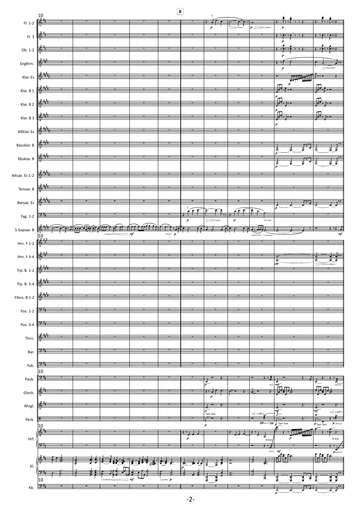

-2-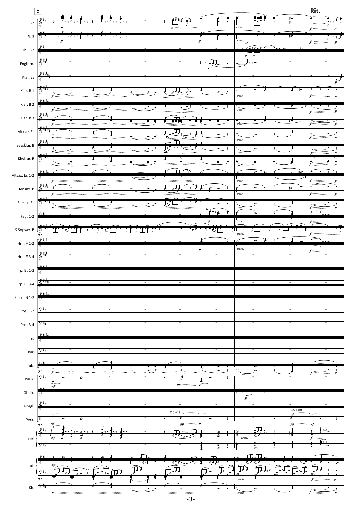

 $-3-$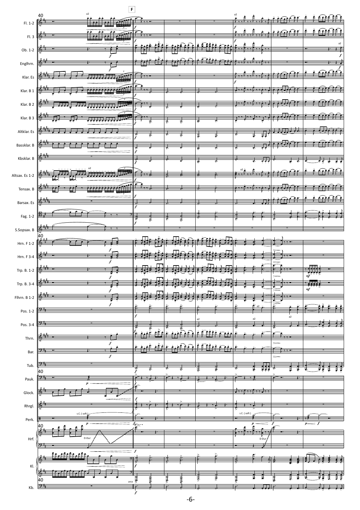